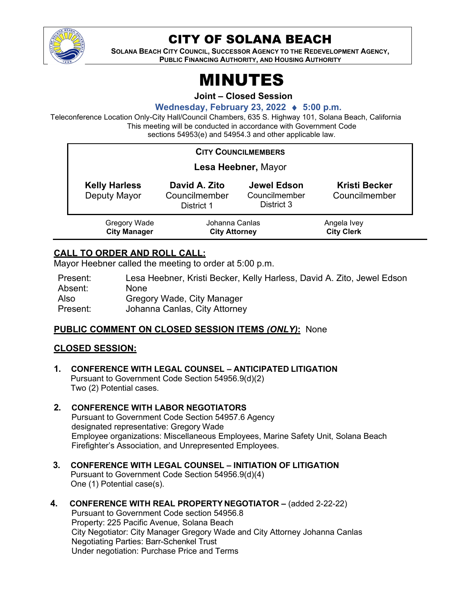

## CITY OF SOLANA BEACH

**SOLANA BEACH CITY COUNCIL, SUCCESSOR AGENCY TO THE REDEVELOPMENT AGENCY, PUBLIC FINANCING AUTHORITY, AND HOUSING AUTHORITY** 

# MINUTES

**Joint – Closed Session**

#### **Wednesday, February 23, 2022** ♦ **5:00 p.m.**

Teleconference Location Only-City Hall/Council Chambers, 635 S. Highway 101, Solana Beach, California This meeting will be conducted in accordance with Government Code sections 54953(e) and 54954.3 and other applicable law.

#### **CITY COUNCILMEMBERS**

| Lesa Heebner, Mayor                  |                                              |                                            |                                       |  |
|--------------------------------------|----------------------------------------------|--------------------------------------------|---------------------------------------|--|
| <b>Kelly Harless</b><br>Deputy Mayor | David A. Zito<br>Councilmember<br>District 1 | Jewel Edson<br>Councilmember<br>District 3 | <b>Kristi Becker</b><br>Councilmember |  |
| Gregory Wade<br><b>City Manager</b>  | Johanna Canlas<br><b>City Attorney</b>       |                                            | Angela Ivey<br><b>City Clerk</b>      |  |

#### **CALL TO ORDER AND ROLL CALL:**

Mayor Heebner called the meeting to order at 5:00 p.m.

| Present: | Lesa Heebner, Kristi Becker, Kelly Harless, David A. Zito, Jewel Edson |
|----------|------------------------------------------------------------------------|
| Absent:  | None.                                                                  |
| Also     | Gregory Wade, City Manager                                             |
| Present: | Johanna Canlas, City Attorney                                          |

#### **PUBLIC COMMENT ON CLOSED SESSION ITEMS** *(ONLY)***:** None

#### **CLOSED SESSION:**

- **1. CONFERENCE WITH LEGAL COUNSEL – ANTICIPATED LITIGATION** Pursuant to Government Code Section 54956.9(d)(2) Two (2) Potential cases.
- **2. CONFERENCE WITH LABOR NEGOTIATORS**  Pursuant to Government Code Section 54957.6 Agency designated representative: Gregory Wade Employee organizations: Miscellaneous Employees, Marine Safety Unit, Solana Beach Firefighter's Association, and Unrepresented Employees.
- **3. CONFERENCE WITH LEGAL COUNSEL – INITIATION OF LITIGATION** Pursuant to Government Code Section 54956.9(d)(4) One (1) Potential case(s).
- **4. CONFERENCE WITH REAL PROPERTY NEGOTIATOR –** (added 2-22-22)

Pursuant to Government Code section 54956.8 Property: 225 Pacific Avenue, Solana Beach City Negotiator: City Manager Gregory Wade and City Attorney Johanna Canlas Negotiating Parties: Barr-Schenkel Trust Under negotiation: Purchase Price and Terms